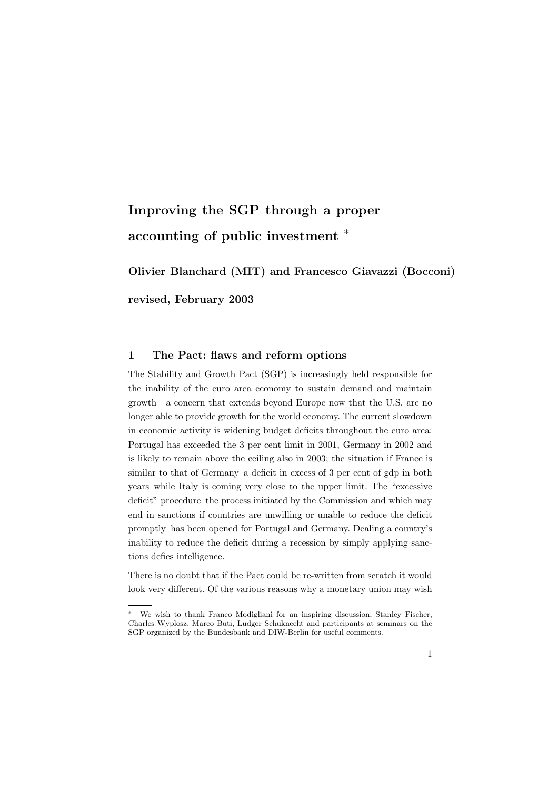# Improving the SGP through a proper accounting of public investment <sup>∗</sup>

Olivier Blanchard (MIT) and Francesco Giavazzi (Bocconi) revised, February 2003

### 1 The Pact: flaws and reform options

The Stability and Growth Pact (SGP) is increasingly held responsible for the inability of the euro area economy to sustain demand and maintain growth—a concern that extends beyond Europe now that the U.S. are no longer able to provide growth for the world economy. The current slowdown in economic activity is widening budget deficits throughout the euro area: Portugal has exceeded the 3 per cent limit in 2001, Germany in 2002 and is likely to remain above the ceiling also in 2003; the situation if France is similar to that of Germany–a deficit in excess of 3 per cent of gdp in both years–while Italy is coming very close to the upper limit. The "excessive deficit" procedure–the process initiated by the Commission and which may end in sanctions if countries are unwilling or unable to reduce the deficit promptly–has been opened for Portugal and Germany. Dealing a country's inability to reduce the deficit during a recession by simply applying sanctions defies intelligence.

There is no doubt that if the Pact could be re-written from scratch it would look very different. Of the various reasons why a monetary union may wish

<sup>∗</sup> We wish to thank Franco Modigliani for an inspiring discussion, Stanley Fischer, Charles Wyplosz, Marco Buti, Ludger Schuknecht and participants at seminars on the SGP organized by the Bundesbank and DIW-Berlin for useful comments.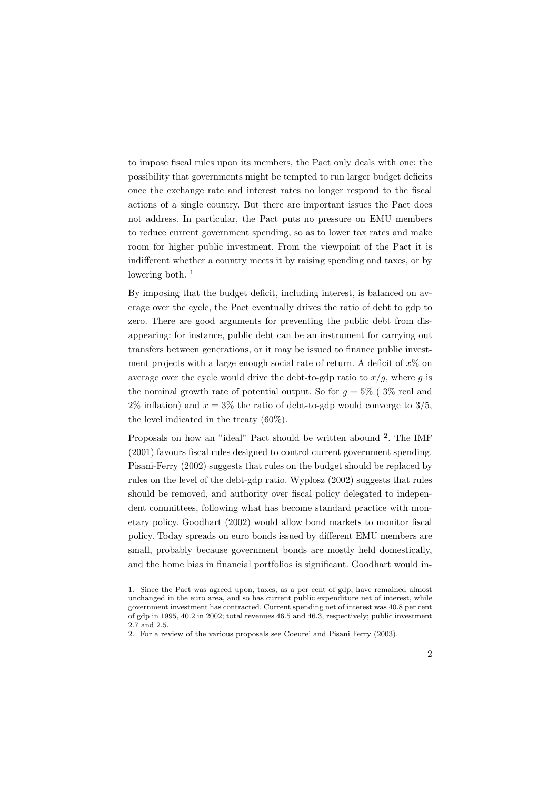to impose fiscal rules upon its members, the Pact only deals with one: the possibility that governments might be tempted to run larger budget deficits once the exchange rate and interest rates no longer respond to the fiscal actions of a single country. But there are important issues the Pact does not address. In particular, the Pact puts no pressure on EMU members to reduce current government spending, so as to lower tax rates and make room for higher public investment. From the viewpoint of the Pact it is indifferent whether a country meets it by raising spending and taxes, or by lowering both.<sup>1</sup>

By imposing that the budget deficit, including interest, is balanced on average over the cycle, the Pact eventually drives the ratio of debt to gdp to zero. There are good arguments for preventing the public debt from disappearing: for instance, public debt can be an instrument for carrying out transfers between generations, or it may be issued to finance public investment projects with a large enough social rate of return. A deficit of  $x\%$  on average over the cycle would drive the debt-to-gdp ratio to  $x/g$ , where g is the nominal growth rate of potential output. So for  $g = 5\%$  (3\%) real and  $2\%$  inflation) and  $x = 3\%$  the ratio of debt-to-gdp would converge to 3/5, the level indicated in the treaty (60%).

Proposals on how an "ideal" Pact should be written abound <sup>2</sup>. The IMF (2001) favours fiscal rules designed to control current government spending. Pisani-Ferry (2002) suggests that rules on the budget should be replaced by rules on the level of the debt-gdp ratio. Wyplosz (2002) suggests that rules should be removed, and authority over fiscal policy delegated to independent committees, following what has become standard practice with monetary policy. Goodhart (2002) would allow bond markets to monitor fiscal policy. Today spreads on euro bonds issued by different EMU members are small, probably because government bonds are mostly held domestically, and the home bias in financial portfolios is significant. Goodhart would in-

<sup>1.</sup> Since the Pact was agreed upon, taxes, as a per cent of gdp, have remained almost unchanged in the euro area, and so has current public expenditure net of interest, while government investment has contracted. Current spending net of interest was 40.8 per cent of gdp in 1995, 40.2 in 2002; total revenues 46.5 and 46.3, respectively; public investment 2.7 and 2.5.

<sup>2.</sup> For a review of the various proposals see Coeure' and Pisani Ferry (2003).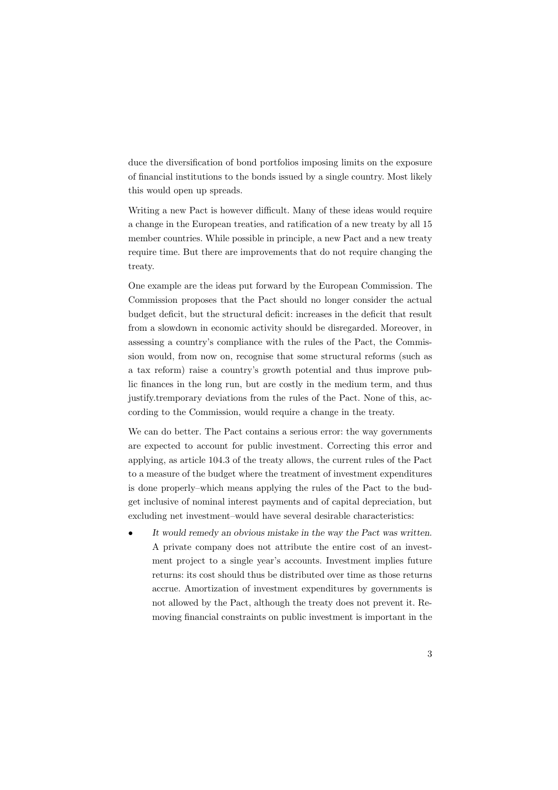duce the diversification of bond portfolios imposing limits on the exposure of financial institutions to the bonds issued by a single country. Most likely this would open up spreads.

Writing a new Pact is however difficult. Many of these ideas would require a change in the European treaties, and ratification of a new treaty by all 15 member countries. While possible in principle, a new Pact and a new treaty require time. But there are improvements that do not require changing the treaty.

One example are the ideas put forward by the European Commission. The Commission proposes that the Pact should no longer consider the actual budget deficit, but the structural deficit: increases in the deficit that result from a slowdown in economic activity should be disregarded. Moreover, in assessing a country's compliance with the rules of the Pact, the Commission would, from now on, recognise that some structural reforms (such as a tax reform) raise a country's growth potential and thus improve public finances in the long run, but are costly in the medium term, and thus justify.tremporary deviations from the rules of the Pact. None of this, according to the Commission, would require a change in the treaty.

We can do better. The Pact contains a serious error: the way governments are expected to account for public investment. Correcting this error and applying, as article 104.3 of the treaty allows, the current rules of the Pact to a measure of the budget where the treatment of investment expenditures is done properly–which means applying the rules of the Pact to the budget inclusive of nominal interest payments and of capital depreciation, but excluding net investment–would have several desirable characteristics:

It would remedy an obvious mistake in the way the Pact was written. A private company does not attribute the entire cost of an investment project to a single year's accounts. Investment implies future returns: its cost should thus be distributed over time as those returns accrue. Amortization of investment expenditures by governments is not allowed by the Pact, although the treaty does not prevent it. Removing financial constraints on public investment is important in the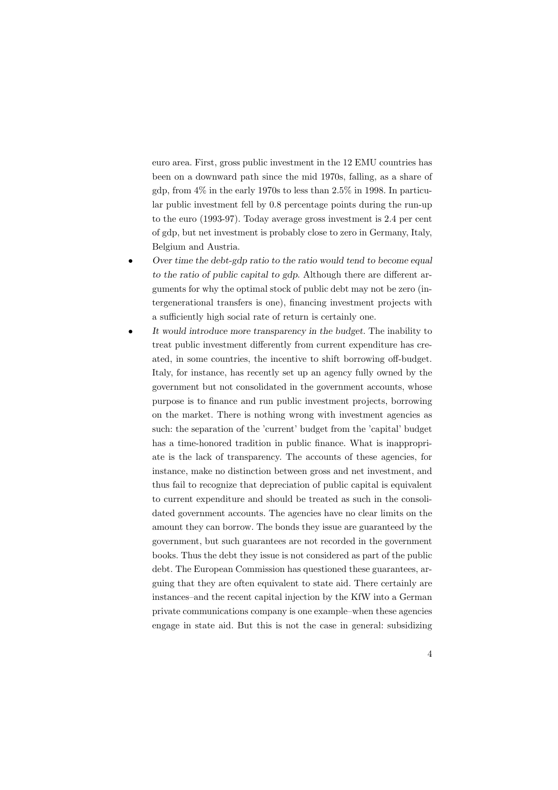euro area. First, gross public investment in the 12 EMU countries has been on a downward path since the mid 1970s, falling, as a share of gdp, from  $4\%$  in the early 1970s to less than 2.5% in 1998. In particular public investment fell by 0.8 percentage points during the run-up to the euro (1993-97). Today average gross investment is 2.4 per cent of gdp, but net investment is probably close to zero in Germany, Italy, Belgium and Austria.

- Over time the debt-gdp ratio to the ratio would tend to become equal to the ratio of public capital to gdp. Although there are different arguments for why the optimal stock of public debt may not be zero (intergenerational transfers is one), financing investment projects with a sufficiently high social rate of return is certainly one.
- It would introduce more transparency in the budget. The inability to treat public investment differently from current expenditure has created, in some countries, the incentive to shift borrowing off-budget. Italy, for instance, has recently set up an agency fully owned by the government but not consolidated in the government accounts, whose purpose is to finance and run public investment projects, borrowing on the market. There is nothing wrong with investment agencies as such: the separation of the 'current' budget from the 'capital' budget has a time-honored tradition in public finance. What is inappropriate is the lack of transparency. The accounts of these agencies, for instance, make no distinction between gross and net investment, and thus fail to recognize that depreciation of public capital is equivalent to current expenditure and should be treated as such in the consolidated government accounts. The agencies have no clear limits on the amount they can borrow. The bonds they issue are guaranteed by the government, but such guarantees are not recorded in the government books. Thus the debt they issue is not considered as part of the public debt. The European Commission has questioned these guarantees, arguing that they are often equivalent to state aid. There certainly are instances–and the recent capital injection by the KfW into a German private communications company is one example–when these agencies engage in state aid. But this is not the case in general: subsidizing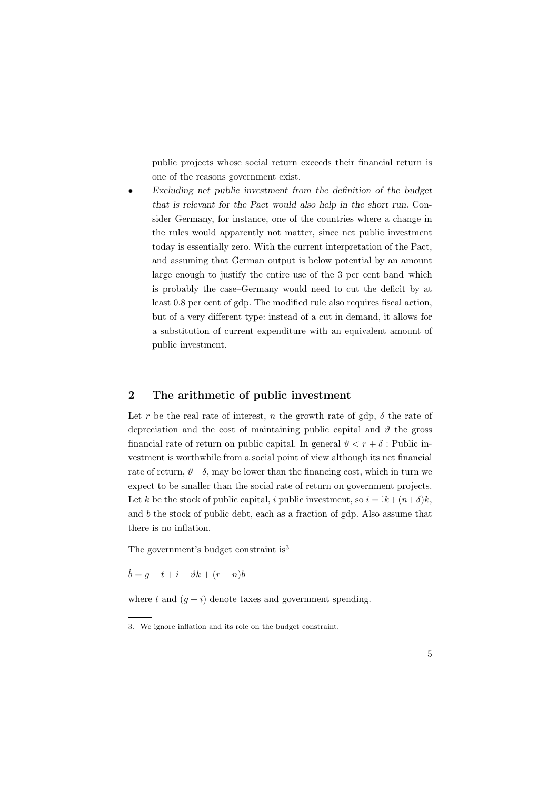public projects whose social return exceeds their financial return is one of the reasons government exist.

• Excluding net public investment from the definition of the budget that is relevant for the Pact would also help in the short run. Consider Germany, for instance, one of the countries where a change in the rules would apparently not matter, since net public investment today is essentially zero. With the current interpretation of the Pact, and assuming that German output is below potential by an amount large enough to justify the entire use of the 3 per cent band–which is probably the case–Germany would need to cut the deficit by at least 0.8 per cent of gdp. The modified rule also requires fiscal action, but of a very different type: instead of a cut in demand, it allows for a substitution of current expenditure with an equivalent amount of public investment.

#### 2 The arithmetic of public investment

Let r be the real rate of interest, n the growth rate of gdp,  $\delta$  the rate of depreciation and the cost of maintaining public capital and  $\vartheta$  the gross financial rate of return on public capital. In general  $\vartheta < r + \delta$ : Public investment is worthwhile from a social point of view although its net financial rate of return,  $\vartheta-\delta$ , may be lower than the financing cost, which in turn we expect to be smaller than the social rate of return on government projects. Let k be the stock of public capital, i public investment, so  $i = \kappa + (n+\delta)k$ . and b the stock of public debt, each as a fraction of gdp. Also assume that there is no inflation.

The government's budget constraint is<sup>3</sup>

 $\dot{b} = q - t + i - \vartheta k + (r - n)b$ 

where t and  $(q + i)$  denote taxes and government spending.

<sup>3.</sup> We ignore inflation and its role on the budget constraint.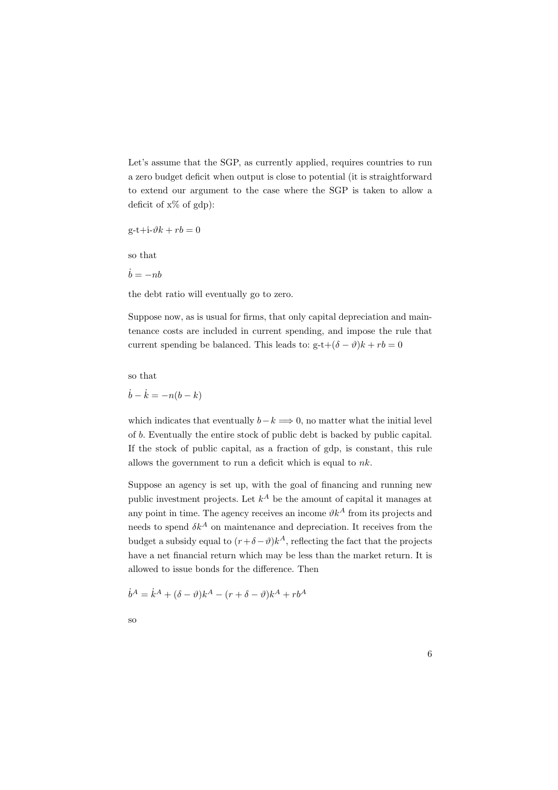Let's assume that the SGP, as currently applied, requires countries to run a zero budget deficit when output is close to potential (it is straightforward to extend our argument to the case where the SGP is taken to allow a deficit of  $x\%$  of gdp):

g-t+i- $\vartheta k + rb = 0$ 

so that

 $\dot{b} = -nb$ 

the debt ratio will eventually go to zero.

Suppose now, as is usual for firms, that only capital depreciation and maintenance costs are included in current spending, and impose the rule that current spending be balanced. This leads to:  $g-t+(\delta-\vartheta)k + rb = 0$ 

so that

 $\dot{b} - \dot{k} = -n(b - k)$ 

which indicates that eventually  $b-k \implies 0$ , no matter what the initial level of b. Eventually the entire stock of public debt is backed by public capital. If the stock of public capital, as a fraction of gdp, is constant, this rule allows the government to run a deficit which is equal to  $nk$ .

Suppose an agency is set up, with the goal of financing and running new public investment projects. Let  $k^A$  be the amount of capital it manages at any point in time. The agency receives an income  $\partial k^A$  from its projects and needs to spend  $\delta k^A$  on maintenance and depreciation. It receives from the budget a subsidy equal to  $(r + \delta - \vartheta)k^A$ , reflecting the fact that the projects have a net financial return which may be less than the market return. It is allowed to issue bonds for the difference. Then

 $\dot{b}^A = \dot{k}^A + (\delta - \vartheta)k^A - (r + \delta - \vartheta)k^A + rb^A$ 

so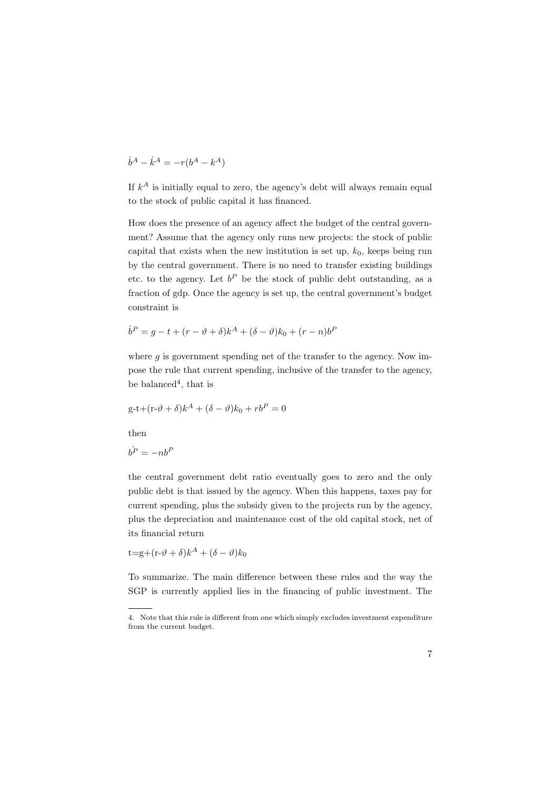$\dot{b}^A - \dot{k}^A = -r(b^A - k^A)$ 

If  $k^A$  is initially equal to zero, the agency's debt will always remain equal to the stock of public capital it has financed.

How does the presence of an agency affect the budget of the central government? Assume that the agency only runs new projects: the stock of public capital that exists when the new institution is set up,  $k_0$ , keeps being run by the central government. There is no need to transfer existing buildings etc. to the agency. Let  $b^P$  be the stock of public debt outstanding, as a fraction of gdp. Once the agency is set up, the central government's budget constraint is

$$
\dot{b}^{P} = g - t + (r - \vartheta + \delta)k^{A} + (\delta - \vartheta)k_{0} + (r - n)b^{P}
$$

where  $g$  is government spending net of the transfer to the agency. Now impose the rule that current spending, inclusive of the transfer to the agency, be balanced<sup>4</sup>, that is

$$
g-t+(r-\vartheta+\delta)k^{A}+(\delta-\vartheta)k_{0}+rb^{P}=0
$$

then

$$
\dot{b^P} = -nb^P
$$

the central government debt ratio eventually goes to zero and the only public debt is that issued by the agency. When this happens, taxes pay for current spending, plus the subsidy given to the projects run by the agency, plus the depreciation and maintenance cost of the old capital stock, net of its financial return

$$
t = g + (r - \vartheta + \delta)k^A + (\delta - \vartheta)k_0
$$

To summarize. The main difference between these rules and the way the SGP is currently applied lies in the financing of public investment. The

<sup>4.</sup> Note that this rule is different from one which simply excludes investment expenditure from the current budget.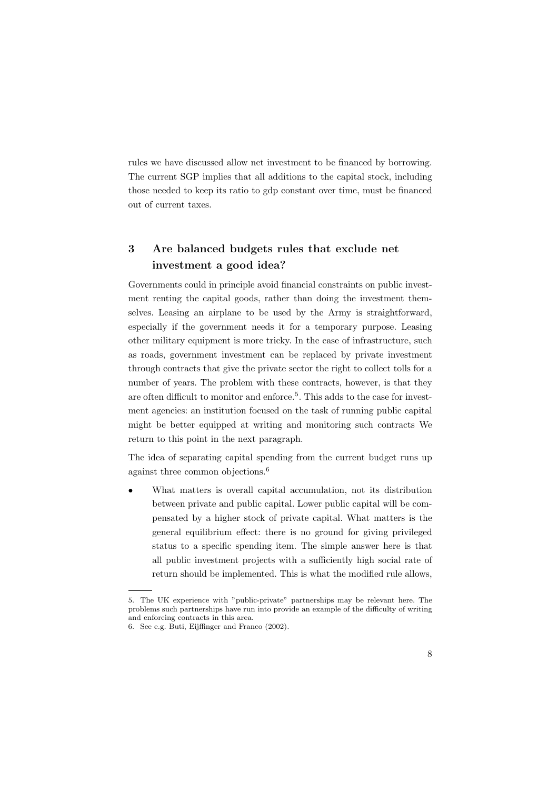rules we have discussed allow net investment to be financed by borrowing. The current SGP implies that all additions to the capital stock, including those needed to keep its ratio to gdp constant over time, must be financed out of current taxes.

## 3 Are balanced budgets rules that exclude net investment a good idea?

Governments could in principle avoid financial constraints on public investment renting the capital goods, rather than doing the investment themselves. Leasing an airplane to be used by the Army is straightforward, especially if the government needs it for a temporary purpose. Leasing other military equipment is more tricky. In the case of infrastructure, such as roads, government investment can be replaced by private investment through contracts that give the private sector the right to collect tolls for a number of years. The problem with these contracts, however, is that they are often difficult to monitor and enforce.<sup>5</sup>. This adds to the case for investment agencies: an institution focused on the task of running public capital might be better equipped at writing and monitoring such contracts We return to this point in the next paragraph.

The idea of separating capital spending from the current budget runs up against three common objections.<sup>6</sup>

What matters is overall capital accumulation, not its distribution between private and public capital. Lower public capital will be compensated by a higher stock of private capital. What matters is the general equilibrium effect: there is no ground for giving privileged status to a specific spending item. The simple answer here is that all public investment projects with a sufficiently high social rate of return should be implemented. This is what the modified rule allows,

<sup>5.</sup> The UK experience with "public-private" partnerships may be relevant here. The problems such partnerships have run into provide an example of the difficulty of writing and enforcing contracts in this area.

<sup>6.</sup> See e.g. Buti, Eijffinger and Franco (2002).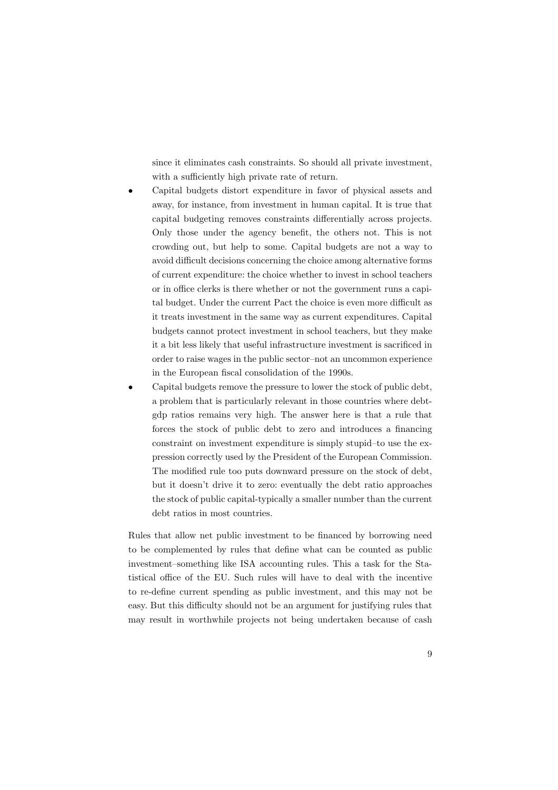since it eliminates cash constraints. So should all private investment, with a sufficiently high private rate of return.

- Capital budgets distort expenditure in favor of physical assets and away, for instance, from investment in human capital. It is true that capital budgeting removes constraints differentially across projects. Only those under the agency benefit, the others not. This is not crowding out, but help to some. Capital budgets are not a way to avoid difficult decisions concerning the choice among alternative forms of current expenditure: the choice whether to invest in school teachers or in office clerks is there whether or not the government runs a capital budget. Under the current Pact the choice is even more difficult as it treats investment in the same way as current expenditures. Capital budgets cannot protect investment in school teachers, but they make it a bit less likely that useful infrastructure investment is sacrificed in order to raise wages in the public sector–not an uncommon experience in the European fiscal consolidation of the 1990s.
- Capital budgets remove the pressure to lower the stock of public debt, a problem that is particularly relevant in those countries where debtgdp ratios remains very high. The answer here is that a rule that forces the stock of public debt to zero and introduces a financing constraint on investment expenditure is simply stupid–to use the expression correctly used by the President of the European Commission. The modified rule too puts downward pressure on the stock of debt, but it doesn't drive it to zero: eventually the debt ratio approaches the stock of public capital-typically a smaller number than the current debt ratios in most countries.

Rules that allow net public investment to be financed by borrowing need to be complemented by rules that define what can be counted as public investment–something like ISA accounting rules. This a task for the Statistical office of the EU. Such rules will have to deal with the incentive to re-define current spending as public investment, and this may not be easy. But this difficulty should not be an argument for justifying rules that may result in worthwhile projects not being undertaken because of cash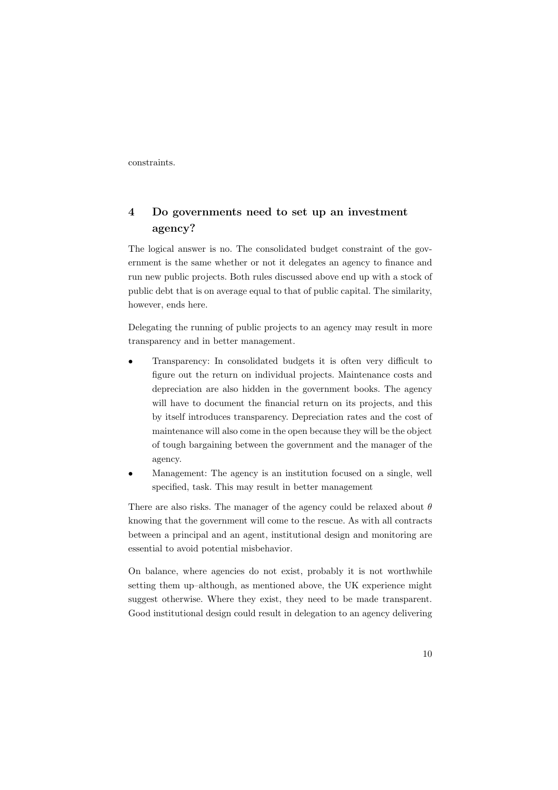constraints.

## 4 Do governments need to set up an investment agency?

The logical answer is no. The consolidated budget constraint of the government is the same whether or not it delegates an agency to finance and run new public projects. Both rules discussed above end up with a stock of public debt that is on average equal to that of public capital. The similarity, however, ends here.

Delegating the running of public projects to an agency may result in more transparency and in better management.

- Transparency: In consolidated budgets it is often very difficult to figure out the return on individual projects. Maintenance costs and depreciation are also hidden in the government books. The agency will have to document the financial return on its projects, and this by itself introduces transparency. Depreciation rates and the cost of maintenance will also come in the open because they will be the object of tough bargaining between the government and the manager of the agency.
- Management: The agency is an institution focused on a single, well specified, task. This may result in better management

There are also risks. The manager of the agency could be relaxed about  $\theta$ knowing that the government will come to the rescue. As with all contracts between a principal and an agent, institutional design and monitoring are essential to avoid potential misbehavior.

On balance, where agencies do not exist, probably it is not worthwhile setting them up–although, as mentioned above, the UK experience might suggest otherwise. Where they exist, they need to be made transparent. Good institutional design could result in delegation to an agency delivering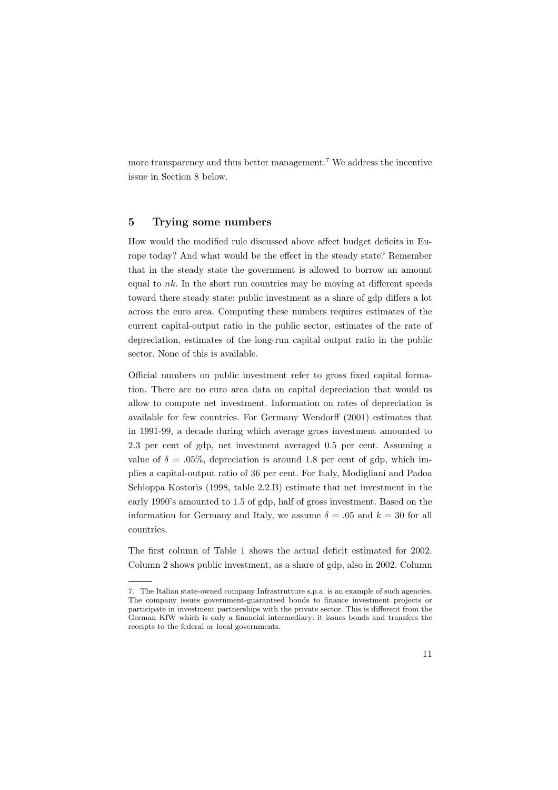more transparency and thus better management.<sup>7</sup> We address the incentive issue in Section 8 below.

#### 5 Trying some numbers

How would the modified rule discussed above affect budget deficits in Europe today? And what would be the effect in the steady state? Remember that in the steady state the government is allowed to borrow an amount equal to  $nk$ . In the short run countries may be moving at different speeds toward there steady state: public investment as a share of gdp differs a lot across the euro area. Computing these numbers requires estimates of the current capital-output ratio in the public sector, estimates of the rate of depreciation, estimates of the long-run capital output ratio in the public sector. None of this is available.

Official numbers on public investment refer to gross fixed capital formation. There are no euro area data on capital depreciation that would us allow to compute net investment. Information on rates of depreciation is available for few countries. For Germany Wendorff (2001) estimates that in 1991-99, a decade during which average gross investment amounted to 2.3 per cent of gdp, net investment averaged 0.5 per cent. Assuming a value of  $\delta = .05\%$ , depreciation is around 1.8 per cent of gdp, which implies a capital-output ratio of 36 per cent. For Italy, Modigliani and Padoa Schioppa Kostoris (1998, table 2.2.B) estimate that net investment in the early 1990's amounted to 1.5 of gdp, half of gross investment. Based on the information for Germany and Italy, we assume  $\delta = .05$  and  $k = 30$  for all countries.

The first column of Table 1 shows the actual deficit estimated for 2002. Column 2 shows public investment, as a share of gdp, also in 2002. Column

<sup>7.</sup> The Italian state-owned company Infrastrutture s.p.a. is an example of such agencies. The company issues government-guaranteed bonds to finance investment projects or participate in investment partnerships with the private sector. This is different from the German KfW which is only a financial intermediary: it issues bonds and transfers the receipts to the federal or local governments.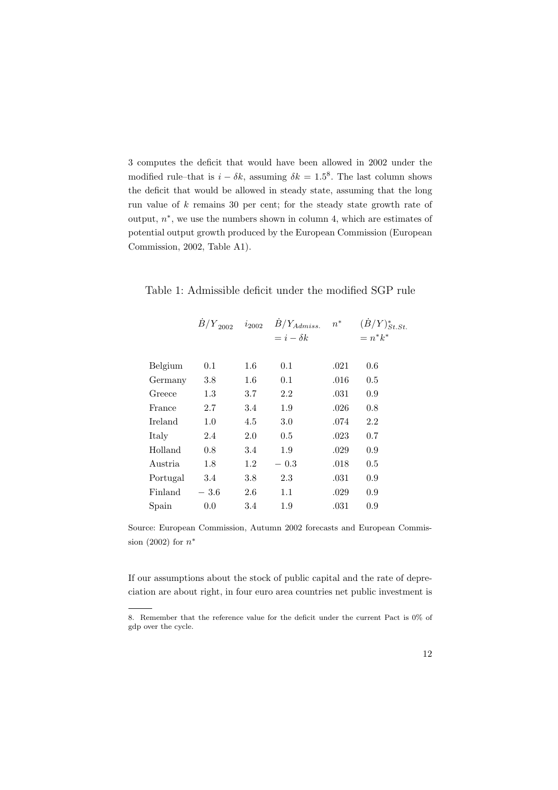3 computes the deficit that would have been allowed in 2002 under the modified rule–that is  $i - \delta k$ , assuming  $\delta k = 1.5^8$ . The last column shows the deficit that would be allowed in steady state, assuming that the long run value of  $k$  remains 30 per cent; for the steady state growth rate of output,  $n^*$ , we use the numbers shown in column 4, which are estimates of potential output growth produced by the European Commission (European Commission, 2002, Table A1).

|                                | $B/Y_{2002}$ |         | $i_{2002}$ $\dot{B}/Y_{Admiss.}$ | $n^*$ | $(\dot{B}/Y)_{St. St.}^*$ |
|--------------------------------|--------------|---------|----------------------------------|-------|---------------------------|
|                                |              |         | $= i - \delta k$                 |       | $= n^*k^*$                |
|                                |              |         |                                  |       |                           |
| Belgium                        | 0.1          | $1.6\,$ | 0.1                              | .021  | 0.6                       |
| Germany                        | 3.8          | 1.6     | 0.1                              | .016  | 0.5                       |
| Greece                         | 1.3          | 3.7     | 2.2                              | .031  | 0.9                       |
| $\mathop{\rm France}\nolimits$ | 2.7          | 3.4     | 1.9                              | .026  | 0.8                       |
| Ireland                        | 1.0          | 4.5     | 3.0                              | .074  | 2.2                       |
| Italy                          | 2.4          | 2.0     | 0.5                              | .023  | 0.7                       |
| Holland                        | 0.8          | 3.4     | 1.9                              | .029  | 0.9                       |
| Austria                        | 1.8          | 1.2     | $-0.3$                           | .018  | 0.5                       |
| Portugal                       | 3.4          | 3.8     | 2.3                              | .031  | 0.9                       |
| Finland                        | $-3.6$       | 2.6     | 1.1                              | .029  | 0.9                       |
| Spain                          | 0.0          | 3.4     | 1.9                              | .031  | 0.9                       |

Table 1: Admissible deficit under the modified SGP rule

Source: European Commission, Autumn 2002 forecasts and European Commission (2002) for  $n^*$ 

If our assumptions about the stock of public capital and the rate of depreciation are about right, in four euro area countries net public investment is

<sup>8.</sup> Remember that the reference value for the deficit under the current Pact is 0% of gdp over the cycle.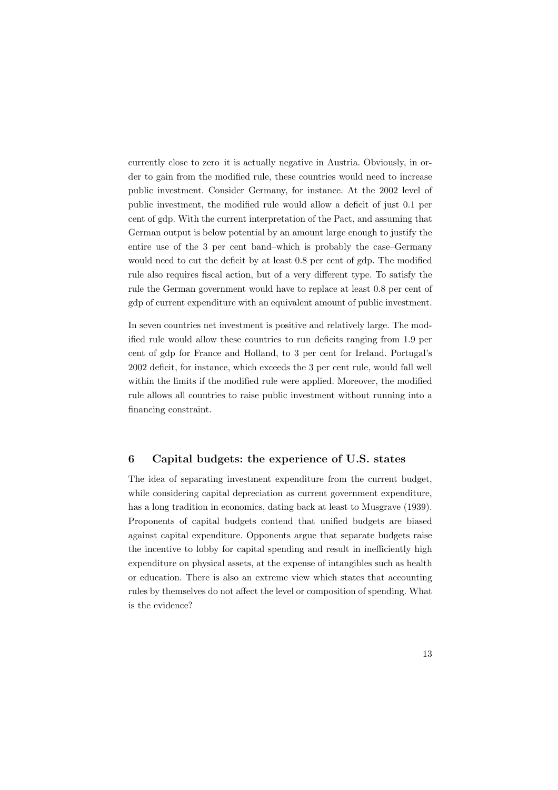currently close to zero–it is actually negative in Austria. Obviously, in order to gain from the modified rule, these countries would need to increase public investment. Consider Germany, for instance. At the 2002 level of public investment, the modified rule would allow a deficit of just 0.1 per cent of gdp. With the current interpretation of the Pact, and assuming that German output is below potential by an amount large enough to justify the entire use of the 3 per cent band–which is probably the case–Germany would need to cut the deficit by at least 0.8 per cent of gdp. The modified rule also requires fiscal action, but of a very different type. To satisfy the rule the German government would have to replace at least 0.8 per cent of gdp of current expenditure with an equivalent amount of public investment.

In seven countries net investment is positive and relatively large. The modified rule would allow these countries to run deficits ranging from 1.9 per cent of gdp for France and Holland, to 3 per cent for Ireland. Portugal's 2002 deficit, for instance, which exceeds the 3 per cent rule, would fall well within the limits if the modified rule were applied. Moreover, the modified rule allows all countries to raise public investment without running into a financing constraint.

#### 6 Capital budgets: the experience of U.S. states

The idea of separating investment expenditure from the current budget, while considering capital depreciation as current government expenditure, has a long tradition in economics, dating back at least to Musgrave (1939). Proponents of capital budgets contend that unified budgets are biased against capital expenditure. Opponents argue that separate budgets raise the incentive to lobby for capital spending and result in inefficiently high expenditure on physical assets, at the expense of intangibles such as health or education. There is also an extreme view which states that accounting rules by themselves do not affect the level or composition of spending. What is the evidence?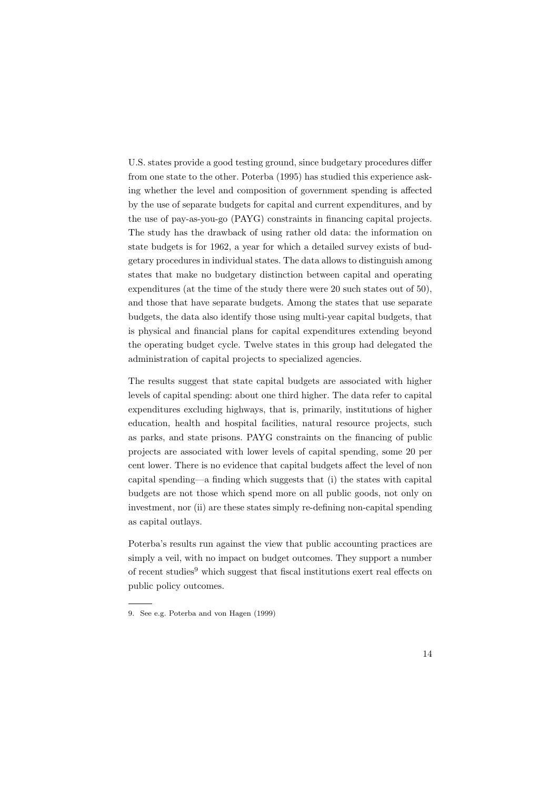U.S. states provide a good testing ground, since budgetary procedures differ from one state to the other. Poterba (1995) has studied this experience asking whether the level and composition of government spending is affected by the use of separate budgets for capital and current expenditures, and by the use of pay-as-you-go (PAYG) constraints in financing capital projects. The study has the drawback of using rather old data: the information on state budgets is for 1962, a year for which a detailed survey exists of budgetary procedures in individual states. The data allows to distinguish among states that make no budgetary distinction between capital and operating expenditures (at the time of the study there were 20 such states out of 50), and those that have separate budgets. Among the states that use separate budgets, the data also identify those using multi-year capital budgets, that is physical and financial plans for capital expenditures extending beyond the operating budget cycle. Twelve states in this group had delegated the administration of capital projects to specialized agencies.

The results suggest that state capital budgets are associated with higher levels of capital spending: about one third higher. The data refer to capital expenditures excluding highways, that is, primarily, institutions of higher education, health and hospital facilities, natural resource projects, such as parks, and state prisons. PAYG constraints on the financing of public projects are associated with lower levels of capital spending, some 20 per cent lower. There is no evidence that capital budgets affect the level of non capital spending—a finding which suggests that (i) the states with capital budgets are not those which spend more on all public goods, not only on investment, nor (ii) are these states simply re-defining non-capital spending as capital outlays.

Poterba's results run against the view that public accounting practices are simply a veil, with no impact on budget outcomes. They support a number of recent studies<sup>9</sup> which suggest that fiscal institutions exert real effects on public policy outcomes.

<sup>9.</sup> See e.g. Poterba and von Hagen (1999)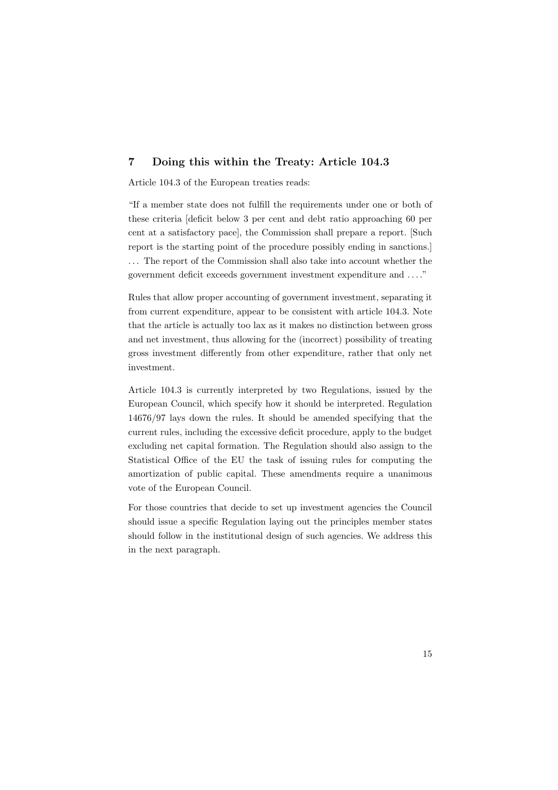## 7 Doing this within the Treaty: Article 104.3

Article 104.3 of the European treaties reads:

"If a member state does not fulfill the requirements under one or both of these criteria [deficit below 3 per cent and debt ratio approaching 60 per cent at a satisfactory pace], the Commission shall prepare a report. [Such report is the starting point of the procedure possibly ending in sanctions.] . . . The report of the Commission shall also take into account whether the government deficit exceeds government investment expenditure and . . . ."

Rules that allow proper accounting of government investment, separating it from current expenditure, appear to be consistent with article 104.3. Note that the article is actually too lax as it makes no distinction between gross and net investment, thus allowing for the (incorrect) possibility of treating gross investment differently from other expenditure, rather that only net investment.

Article 104.3 is currently interpreted by two Regulations, issued by the European Council, which specify how it should be interpreted. Regulation 14676/97 lays down the rules. It should be amended specifying that the current rules, including the excessive deficit procedure, apply to the budget excluding net capital formation. The Regulation should also assign to the Statistical Office of the EU the task of issuing rules for computing the amortization of public capital. These amendments require a unanimous vote of the European Council.

For those countries that decide to set up investment agencies the Council should issue a specific Regulation laying out the principles member states should follow in the institutional design of such agencies. We address this in the next paragraph.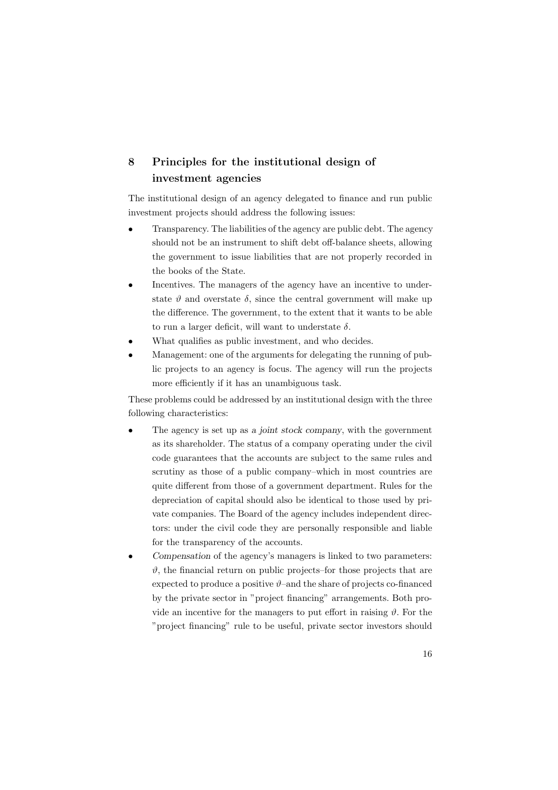# 8 Principles for the institutional design of investment agencies

The institutional design of an agency delegated to finance and run public investment projects should address the following issues:

- Transparency. The liabilities of the agency are public debt. The agency should not be an instrument to shift debt off-balance sheets, allowing the government to issue liabilities that are not properly recorded in the books of the State.
- Incentives. The managers of the agency have an incentive to understate  $\vartheta$  and overstate  $\delta$ , since the central government will make up the difference. The government, to the extent that it wants to be able to run a larger deficit, will want to understate  $\delta$ .
- What qualifies as public investment, and who decides.
- Management: one of the arguments for delegating the running of public projects to an agency is focus. The agency will run the projects more efficiently if it has an unambiguous task.

These problems could be addressed by an institutional design with the three following characteristics:

- The agency is set up as a *joint stock company*, with the government as its shareholder. The status of a company operating under the civil code guarantees that the accounts are subject to the same rules and scrutiny as those of a public company–which in most countries are quite different from those of a government department. Rules for the depreciation of capital should also be identical to those used by private companies. The Board of the agency includes independent directors: under the civil code they are personally responsible and liable for the transparency of the accounts.
	- Compensation of the agency's managers is linked to two parameters:  $\vartheta$ , the financial return on public projects–for those projects that are expected to produce a positive  $\vartheta$ –and the share of projects co-financed by the private sector in "project financing" arrangements. Both provide an incentive for the managers to put effort in raising  $\vartheta$ . For the "project financing" rule to be useful, private sector investors should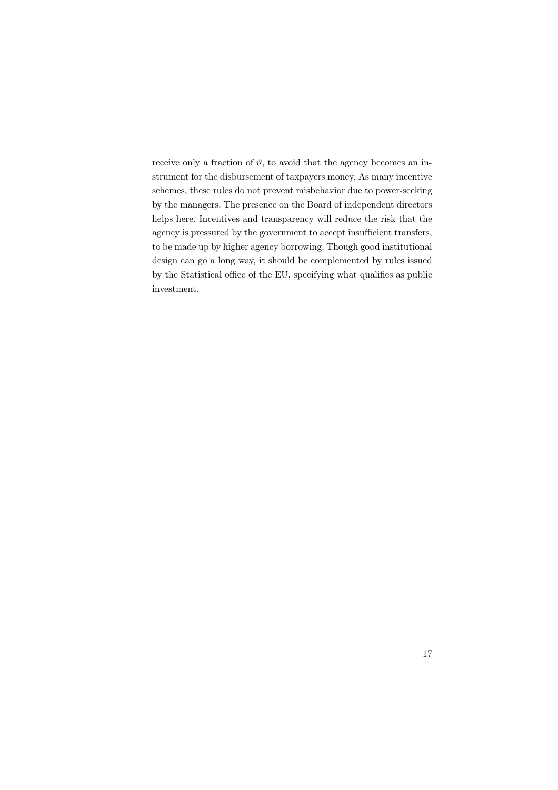receive only a fraction of  $\vartheta$ , to avoid that the agency becomes an instrument for the disbursement of taxpayers money. As many incentive schemes, these rules do not prevent misbehavior due to power-seeking by the managers. The presence on the Board of independent directors helps here. Incentives and transparency will reduce the risk that the agency is pressured by the government to accept insufficient transfers, to be made up by higher agency borrowing. Though good institutional design can go a long way, it should be complemented by rules issued by the Statistical office of the EU, specifying what qualifies as public investment.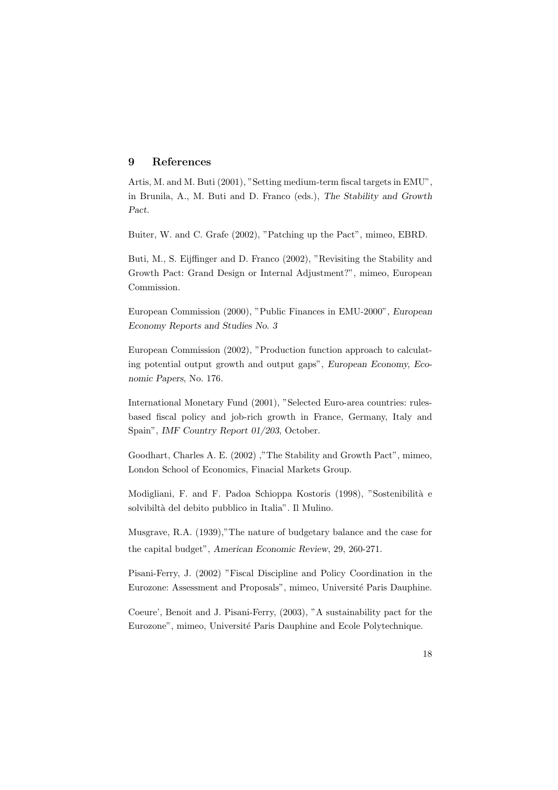#### 9 References

Artis, M. and M. Buti (2001), "Setting medium-term fiscal targets in EMU", in Brunila, A., M. Buti and D. Franco (eds.), The Stability and Growth Pact.

Buiter, W. and C. Grafe (2002), "Patching up the Pact", mimeo, EBRD.

Buti, M., S. Eijffinger and D. Franco (2002), "Revisiting the Stability and Growth Pact: Grand Design or Internal Adjustment?", mimeo, European Commission.

European Commission (2000), "Public Finances in EMU-2000", European Economy Reports and Studies No. 3

European Commission (2002), "Production function approach to calculating potential output growth and output gaps", European Economy, Economic Papers, No. 176.

International Monetary Fund (2001), "Selected Euro-area countries: rulesbased fiscal policy and job-rich growth in France, Germany, Italy and Spain", IMF Country Report 01/203, October.

Goodhart, Charles A. E. (2002) ,"The Stability and Growth Pact", mimeo, London School of Economics, Finacial Markets Group.

Modigliani, F. and F. Padoa Schioppa Kostoris (1998), "Sostenibilità e solvibilt`a del debito pubblico in Italia". Il Mulino.

Musgrave, R.A. (1939),"The nature of budgetary balance and the case for the capital budget", American Economic Review, 29, 260-271.

Pisani-Ferry, J. (2002) "Fiscal Discipline and Policy Coordination in the Eurozone: Assessment and Proposals", mimeo, Université Paris Dauphine.

Coeure', Benoit and J. Pisani-Ferry, (2003), "A sustainability pact for the Eurozone", mimeo, Université Paris Dauphine and Ecole Polytechnique.